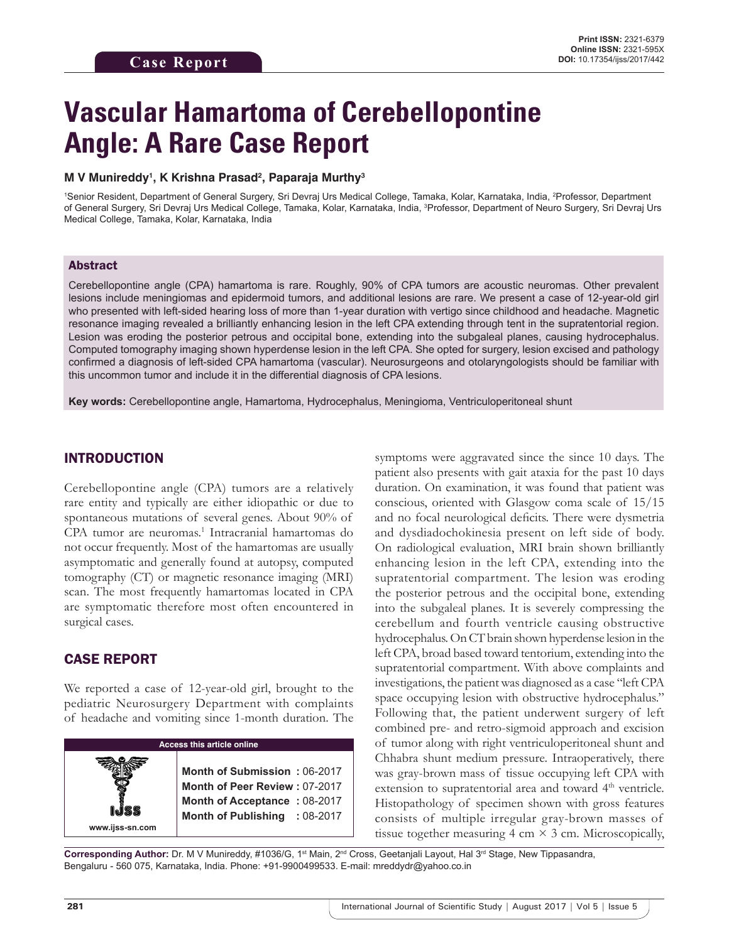# **Vascular Hamartoma of Cerebellopontine Angle: A Rare Case Report**

#### **M V Munireddy1 , K Krishna Prasad2 , Paparaja Murthy3**

<sup>1</sup>Senior Resident, Department of General Surgery, Sri Devraj Urs Medical College, Tamaka, Kolar, Karnataka, India, <sup>2</sup>Professor, Department of General Surgery, Sri Devraj Urs Medical College, Tamaka, Kolar, Karnataka, India, <sup>3</sup>Professor, Department of Neuro Surgery, Sri Devraj Urs Medical College, Tamaka, Kolar, Karnataka, India

#### Abstract

Cerebellopontine angle (CPA) hamartoma is rare. Roughly, 90% of CPA tumors are acoustic neuromas. Other prevalent lesions include meningiomas and epidermoid tumors, and additional lesions are rare. We present a case of 12-year-old girl who presented with left-sided hearing loss of more than 1-year duration with vertigo since childhood and headache. Magnetic resonance imaging revealed a brilliantly enhancing lesion in the left CPA extending through tent in the supratentorial region. Lesion was eroding the posterior petrous and occipital bone, extending into the subgaleal planes, causing hydrocephalus. Computed tomography imaging shown hyperdense lesion in the left CPA. She opted for surgery, lesion excised and pathology confirmed a diagnosis of left-sided CPA hamartoma (vascular). Neurosurgeons and otolaryngologists should be familiar with this uncommon tumor and include it in the differential diagnosis of CPA lesions.

**Key words:** Cerebellopontine angle, Hamartoma, Hydrocephalus, Meningioma, Ventriculoperitoneal shunt

### INTRODUCTION

Cerebellopontine angle (CPA) tumors are a relatively rare entity and typically are either idiopathic or due to spontaneous mutations of several genes. About 90% of CPA tumor are neuromas.<sup>1</sup> Intracranial hamartomas do not occur frequently. Most of the hamartomas are usually asymptomatic and generally found at autopsy, computed tomography (CT) or magnetic resonance imaging (MRI) scan. The most frequently hamartomas located in CPA are symptomatic therefore most often encountered in surgical cases.

## CASE REPORT

We reported a case of 12-year-old girl, brought to the pediatric Neurosurgery Department with complaints of headache and vomiting since 1-month duration. The

| <b>Access this article online</b> |                                                                                                                                |
|-----------------------------------|--------------------------------------------------------------------------------------------------------------------------------|
| www.ijss-sn.com                   | Month of Submission: 06-2017<br>Month of Peer Review: 07-2017<br>Month of Acceptance: 08-2017<br>Month of Publishing : 08-2017 |

symptoms were aggravated since the since 10 days. The patient also presents with gait ataxia for the past 10 days duration. On examination, it was found that patient was conscious, oriented with Glasgow coma scale of 15/15 and no focal neurological deficits. There were dysmetria and dysdiadochokinesia present on left side of body. On radiological evaluation, MRI brain shown brilliantly enhancing lesion in the left CPA, extending into the supratentorial compartment. The lesion was eroding the posterior petrous and the occipital bone, extending into the subgaleal planes. It is severely compressing the cerebellum and fourth ventricle causing obstructive hydrocephalus. On CT brain shown hyperdense lesion in the left CPA, broad based toward tentorium, extending into the supratentorial compartment. With above complaints and investigations, the patient was diagnosed as a case "left CPA space occupying lesion with obstructive hydrocephalus." Following that, the patient underwent surgery of left combined pre- and retro-sigmoid approach and excision of tumor along with right ventriculoperitoneal shunt and Chhabra shunt medium pressure. Intraoperatively, there was gray-brown mass of tissue occupying left CPA with extension to supratentorial area and toward 4<sup>th</sup> ventricle. Histopathology of specimen shown with gross features consists of multiple irregular gray-brown masses of tissue together measuring 4 cm  $\times$  3 cm. Microscopically,

Corresponding Author: Dr. M V Munireddy, #1036/G, 1<sup>st</sup> Main, 2<sup>nd</sup> Cross, Geetanjali Layout, Hal 3<sup>rd</sup> Stage, New Tippasandra, Bengaluru - 560 075, Karnataka, India. Phone: +91-9900499533. E-mail: mreddydr@yahoo.co.in